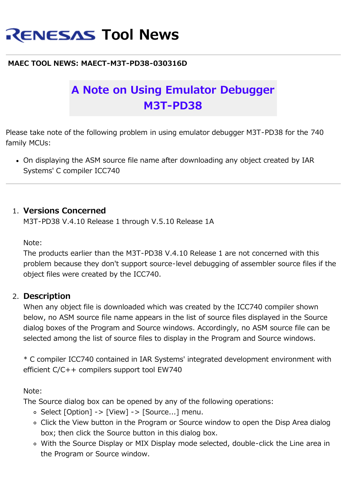# **RENESAS Tool News**

#### **MAEC TOOL NEWS: MAECT-M3T-PD38-030316D**

# **A Note on Using Emulator Debugger M3T-PD38**

Please take note of the following problem in using emulator debugger M3T-PD38 for the 740 family MCUs:

On displaying the ASM source file name after downloading any object created by IAR Systems' C compiler ICC740

#### 1. **Versions Concerned**

M3T-PD38 V.4.10 Release 1 through V.5.10 Release 1A

Note:

The products earlier than the M3T-PD38 V.4.10 Release 1 are not concerned with this problem because they don't support source-level debugging of assembler source files if the object files were created by the ICC740.

#### 2. **Description**

When any object file is downloaded which was created by the ICC740 compiler shown below, no ASM source file name appears in the list of source files displayed in the Source dialog boxes of the Program and Source windows. Accordingly, no ASM source file can be selected among the list of source files to display in the Program and Source windows.

\* C compiler ICC740 contained in IAR Systems' integrated development environment with efficient C/C++ compilers support tool EW740

Note:

The Source dialog box can be opened by any of the following operations:

- $\circ$  Select [Option] -> [View] -> [Source...] menu.
- Click the View button in the Program or Source window to open the Disp Area dialog box; then click the Source button in this dialog box.
- With the Source Display or MIX Display mode selected, double-click the Line area in the Program or Source window.